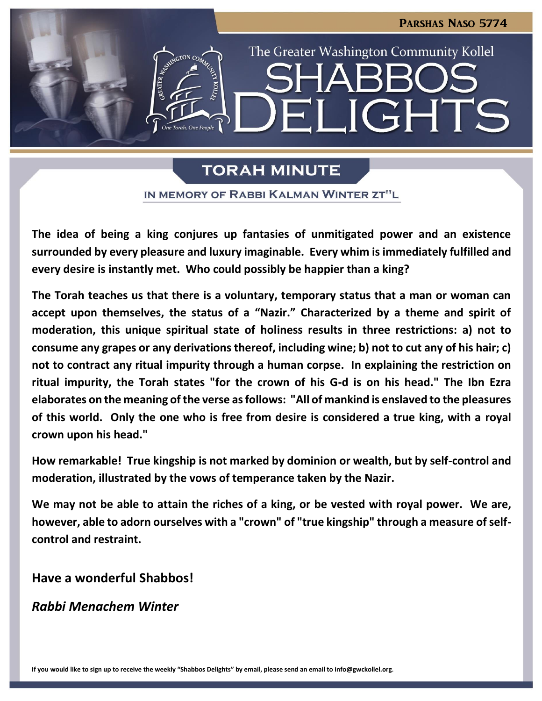The Greater Washington Community Kollel

LIGHT

# **TORAH MINUTE**

**ASSEMBATION CO.** 

IN MEMORY OF RABBI KALMAN WINTER ZT"L

**The idea of being a king conjures up fantasies of unmitigated power and an existence surrounded by every pleasure and luxury imaginable. Every whim is immediately fulfilled and every desire is instantly met. Who could possibly be happier than a king?**

**The Torah teaches us that there is a voluntary, temporary status that a man or woman can accept upon themselves, the status of a "Nazir." Characterized by a theme and spirit of moderation, this unique spiritual state of holiness results in three restrictions: a) not to consume any grapes or any derivations thereof, including wine; b) not to cut any of his hair; c) not to contract any ritual impurity through a human corpse. In explaining the restriction on ritual impurity, the Torah states "for the crown of his G-d is on his head." The Ibn Ezra elaborates on the meaning of the verse as follows: "All of mankind is enslaved to the pleasures of this world. Only the one who is free from desire is considered a true king, with a royal crown upon his head."**

**How remarkable! True kingship is not marked by dominion or wealth, but by self-control and moderation, illustrated by the vows of temperance taken by the Nazir.**

**We may not be able to attain the riches of a king, or be vested with royal power. We are, however, able to adorn ourselves with a "crown" of "true kingship" through a measure of selfcontrol and restraint.**

**Have a wonderful Shabbos!**

*Rabbi Menachem Winter*